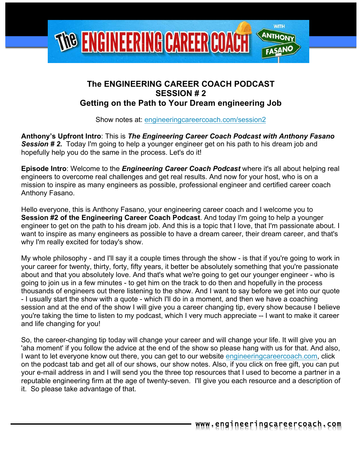

# **The ENGINEERING CAREER COACH PODCAST SESSION # 2 Getting on the Path to Your Dream engineering Job**

Show notes at: engineeringcareercoach.com/session2

**Anthony's Upfront Intro**: This is *The Engineering Career Coach Podcast with Anthony Fasano*  **Session #2.** Today I'm going to help a younger engineer get on his path to his dream job and hopefully help you do the same in the process. Let's do it!

**Episode Intro**: Welcome to the *Engineering Career Coach Podcast* where it's all about helping real engineers to overcome real challenges and get real results. And now for your host, who is on a mission to inspire as many engineers as possible, professional engineer and certified career coach Anthony Fasano.

Hello everyone, this is Anthony Fasano, your engineering career coach and I welcome you to **Session #2 of the Engineering Career Coach Podcast**. And today I'm going to help a younger engineer to get on the path to his dream job. And this is a topic that I love, that I'm passionate about. I want to inspire as many engineers as possible to have a dream career, their dream career, and that's why I'm really excited for today's show.

My whole philosophy - and I'll say it a couple times through the show - is that if you're going to work in your career for twenty, thirty, forty, fifty years, it better be absolutely something that you're passionate about and that you absolutely love. And that's what we're going to get our younger engineer - who is going to join us in a few minutes - to get him on the track to do then and hopefully in the process thousands of engineers out there listening to the show. And I want to say before we get into our quote - I usually start the show with a quote - which I'll do in a moment, and then we have a coaching session and at the end of the show I will give you a career changing tip, every show because I believe you're taking the time to listen to my podcast, which I very much appreciate -- I want to make it career and life changing for you!

So, the career-changing tip today will change your career and will change your life. It will give you an 'aha moment' if you follow the advice at the end of the show so please hang with us for that. And also, I want to let everyone know out there, you can get to our website engineering career coach.com, click on the podcast tab and get all of our shows, our show notes. Also, if you click on free gift, you can put your e-mail address in and I will send you the three top resources that I used to become a partner in a reputable engineering firm at the age of twenty-seven. I'll give you each resource and a description of it. So please take advantage of that.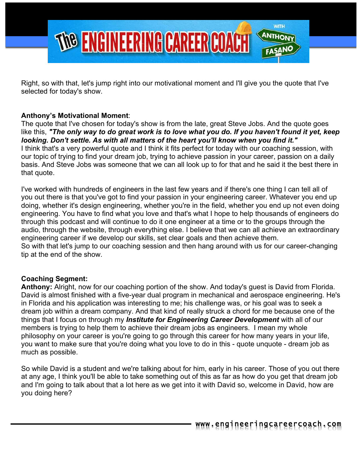

Right, so with that, let's jump right into our motivational moment and I'll give you the quote that I've selected for today's show.

# **Anthony's Motivational Moment**:

The quote that I've chosen for today's show is from the late, great Steve Jobs. And the quote goes like this, *"The only way to do great work is to love what you do. If you haven't found it yet, keep looking. Don't settle. As with all matters of the heart you'll know when you find it."* I think that's a very powerful quote and I think it fits perfect for today with our coaching session, with our topic of trying to find your dream job, trying to achieve passion in your career, passion on a daily basis. And Steve Jobs was someone that we can all look up to for that and he said it the best there in that quote.

I've worked with hundreds of engineers in the last few years and if there's one thing I can tell all of you out there is that you've got to find your passion in your engineering career. Whatever you end up doing, whether it's design engineering, whether you're in the field, whether you end up not even doing engineering. You have to find what you love and that's what I hope to help thousands of engineers do through this podcast and will continue to do it one engineer at a time or to the groups through the audio, through the website, through everything else. I believe that we can all achieve an extraordinary engineering career if we develop our skills, set clear goals and then achieve them. So with that let's jump to our coaching session and then hang around with us for our career-changing tip at the end of the show.

## **Coaching Segment:**

**Anthony:** Alright, now for our coaching portion of the show. And today's guest is David from Florida. David is almost finished with a five-year dual program in mechanical and aerospace engineering. He's in Florida and his application was interesting to me; his challenge was, or his goal was to seek a dream job within a dream company. And that kind of really struck a chord for me because one of the things that I focus on through my *Institute for Engineering Career Development* with all of our members is trying to help them to achieve their dream jobs as engineers. I mean my whole philosophy on your career is you're going to go through this career for how many years in your life, you want to make sure that you're doing what you love to do in this - quote unquote - dream job as much as possible.

So while David is a student and we're talking about for him, early in his career. Those of you out there at any age, I think you'll be able to take something out of this as far as how do you get that dream job and I'm going to talk about that a lot here as we get into it with David so, welcome in David, how are you doing here?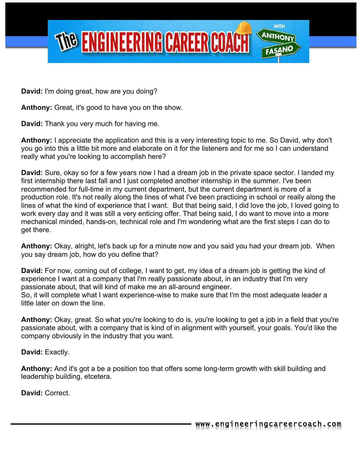

**David:** I'm doing great, how are you doing?

**Anthony:** Great, it's good to have you on the show.

**David:** Thank you very much for having me.

**Anthony:** I appreciate the application and this is a very interesting topic to me. So David, why don't you go into this a little bit more and elaborate on it for the listeners and for me so I can understand really what you're looking to accomplish here?

**David:** Sure, okay so for a few years now I had a dream job in the private space sector. I landed my first internship there last fall and I just completed another internship in the summer. I've been recommended for full-time in my current department, but the current department is more of a production role. It's not really along the lines of what I've been practicing in school or really along the lines of what the kind of experience that I want. But that being said, I did love the job, I loved going to work every day and it was still a very enticing offer. That being said, I do want to move into a more mechanical minded, hands-on, technical role and I'm wondering what are the first steps I can do to get there.

**Anthony:** Okay, alright, let's back up for a minute now and you said you had your dream job. When you say dream job, how do you define that?

**David:** For now, coming out of college, I want to get, my idea of a dream job is getting the kind of experience I want at a company that I'm really passionate about, in an industry that I'm very passionate about, that will kind of make me an all-around engineer. So, it will complete what I want experience-wise to make sure that I'm the most adequate leader a little later on down the line.

**Anthony:** Okay, great. So what you're looking to do is, you're looking to get a job in a field that you're passionate about, with a company that is kind of in alignment with yourself, your goals. You'd like the company obviously in the industry that you want.

**David:** Exactly.

**Anthony:** And it's got a be a position too that offers some long-term growth with skill building and leadership building, etcetera.

**David:** Correct.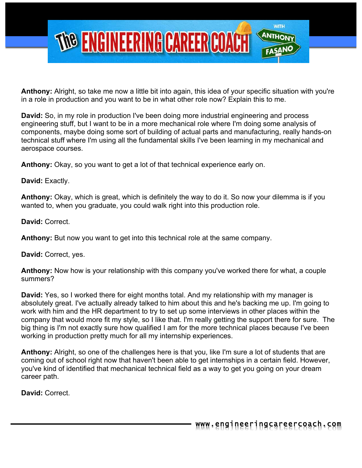

**Anthony:** Alright, so take me now a little bit into again, this idea of your specific situation with you're in a role in production and you want to be in what other role now? Explain this to me.

**David:** So, in my role in production I've been doing more industrial engineering and process engineering stuff, but I want to be in a more mechanical role where I'm doing some analysis of components, maybe doing some sort of building of actual parts and manufacturing, really hands-on technical stuff where I'm using all the fundamental skills I've been learning in my mechanical and aerospace courses.

**Anthony:** Okay, so you want to get a lot of that technical experience early on.

**David:** Exactly.

**Anthony:** Okay, which is great, which is definitely the way to do it. So now your dilemma is if you wanted to, when you graduate, you could walk right into this production role.

**David:** Correct.

**Anthony:** But now you want to get into this technical role at the same company.

**David:** Correct, yes.

**Anthony:** Now how is your relationship with this company you've worked there for what, a couple summers?

**David:** Yes, so I worked there for eight months total. And my relationship with my manager is absolutely great. I've actually already talked to him about this and he's backing me up. I'm going to work with him and the HR department to try to set up some interviews in other places within the company that would more fit my style, so I like that. I'm really getting the support there for sure. The big thing is I'm not exactly sure how qualified I am for the more technical places because I've been working in production pretty much for all my internship experiences.

**Anthony:** Alright, so one of the challenges here is that you, like I'm sure a lot of students that are coming out of school right now that haven't been able to get internships in a certain field. However, you've kind of identified that mechanical technical field as a way to get you going on your dream career path.

**David:** Correct.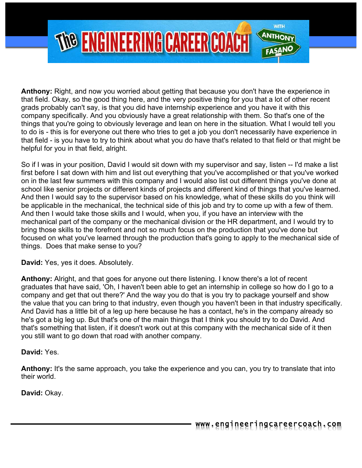

**Anthony:** Right, and now you worried about getting that because you don't have the experience in that field. Okay, so the good thing here, and the very positive thing for you that a lot of other recent grads probably can't say, is that you did have internship experience and you have it with this company specifically. And you obviously have a great relationship with them. So that's one of the things that you're going to obviously leverage and lean on here in the situation. What I would tell you to do is - this is for everyone out there who tries to get a job you don't necessarily have experience in that field - is you have to try to think about what you do have that's related to that field or that might be helpful for you in that field, alright.

So if I was in your position, David I would sit down with my supervisor and say, listen -- I'd make a list first before I sat down with him and list out everything that you've accomplished or that you've worked on in the last few summers with this company and I would also list out different things you've done at school like senior projects or different kinds of projects and different kind of things that you've learned. And then I would say to the supervisor based on his knowledge, what of these skills do you think will be applicable in the mechanical, the technical side of this job and try to come up with a few of them. And then I would take those skills and I would, when you, if you have an interview with the mechanical part of the company or the mechanical division or the HR department, and I would try to bring those skills to the forefront and not so much focus on the production that you've done but focused on what you've learned through the production that's going to apply to the mechanical side of things. Does that make sense to you?

**David:** Yes, yes it does. Absolutely.

**Anthony:** Alright, and that goes for anyone out there listening. I know there's a lot of recent graduates that have said, 'Oh, I haven't been able to get an internship in college so how do I go to a company and get that out there?' And the way you do that is you try to package yourself and show the value that you can bring to that industry, even though you haven't been in that industry specifically. And David has a little bit of a leg up here because he has a contact, he's in the company already so he's got a big leg up. But that's one of the main things that I think you should try to do David. And that's something that listen, if it doesn't work out at this company with the mechanical side of it then you still want to go down that road with another company.

## **David:** Yes.

**Anthony:** It's the same approach, you take the experience and you can, you try to translate that into their world.

**David:** Okay.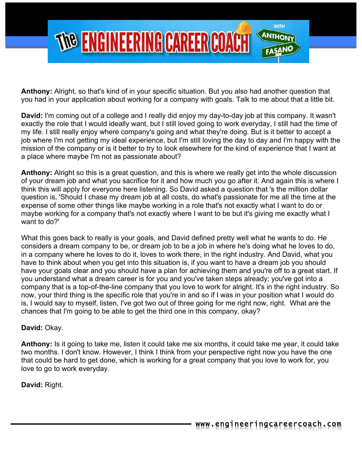

**Anthony:** Alright, so that's kind of in your specific situation. But you also had another question that you had in your application about working for a company with goals. Talk to me about that a little bit.

**David:** I'm coming out of a college and I really did enjoy my day-to-day job at this company. It wasn't exactly the role that I would ideally want, but I still loved going to work everyday, I still had the time of my life. I still really enjoy where company's going and what they're doing. But is it better to accept a job where I'm not getting my ideal experience, but I'm still loving the day to day and I'm happy with the mission of the company or is it better to try to look elsewhere for the kind of experience that I want at a place where maybe I'm not as passionate about?

**Anthony:** Alright so this is a great question, and this is where we really get into the whole discussion of your dream job and what you sacrifice for it and how much you go after it. And again this is where I think this will apply for everyone here listening. So David asked a question that 's the million dollar question is, 'Should I chase my dream job at all costs, do what's passionate for me all the time at the expense of some other things like maybe working in a role that's not exactly what I want to do or maybe working for a company that's not exactly where I want to be but it's giving me exactly what I want to do?'

What this goes back to really is your goals, and David defined pretty well what he wants to do. He considers a dream company to be, or dream job to be a job in where he's doing what he loves to do, in a company where he loves to do it, loves to work there, in the right industry. And David, what you have to think about when you get into this situation is, if you want to have a dream job you should have your goals clear and you should have a plan for achieving them and you're off to a great start. If you understand what a dream career is for you and you've taken steps already; you've got into a company that is a top-of-the-line company that you love to work for alright. It's in the right industry. So now, your third thing is the specific role that you're in and so if I was in your position what I would do is, I would say to myself, listen, I've got two out of three going for me right now, right. What are the chances that I'm going to be able to get the third one in this company, okay?

## **David:** Okay.

**Anthony:** Is it going to take me, listen it could take me six months, it could take me year, it could take two months. I don't know. However, I think I think from your perspective right now you have the one that could be hard to get done, which is working for a great company that you love to work for, you love to go to work everyday.

**David:** Right.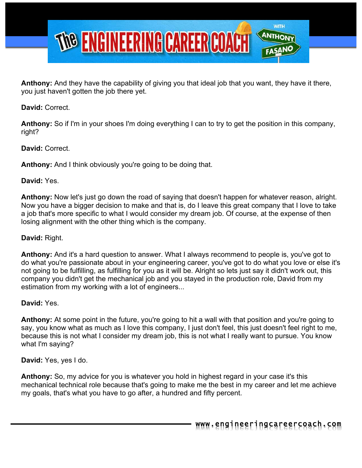

**Anthony:** And they have the capability of giving you that ideal job that you want, they have it there, you just haven't gotten the job there yet.

**David:** Correct.

**Anthony:** So if I'm in your shoes I'm doing everything I can to try to get the position in this company, right?

**David:** Correct.

**Anthony:** And I think obviously you're going to be doing that.

# **David:** Yes.

**Anthony:** Now let's just go down the road of saying that doesn't happen for whatever reason, alright. Now you have a bigger decision to make and that is, do I leave this great company that I love to take a job that's more specific to what I would consider my dream job. Of course, at the expense of then losing alignment with the other thing which is the company.

# **David:** Right.

**Anthony:** And it's a hard question to answer. What I always recommend to people is, you've got to do what you're passionate about in your engineering career, you've got to do what you love or else it's not going to be fulfilling, as fulfilling for you as it will be. Alright so lets just say it didn't work out, this company you didn't get the mechanical job and you stayed in the production role, David from my estimation from my working with a lot of engineers...

## **David:** Yes.

**Anthony:** At some point in the future, you're going to hit a wall with that position and you're going to say, you know what as much as I love this company, I just don't feel, this just doesn't feel right to me, because this is not what I consider my dream job, this is not what I really want to pursue. You know what I'm saying?

**David:** Yes, yes I do.

**Anthony:** So, my advice for you is whatever you hold in highest regard in your case it's this mechanical technical role because that's going to make me the best in my career and let me achieve my goals, that's what you have to go after, a hundred and fifty percent.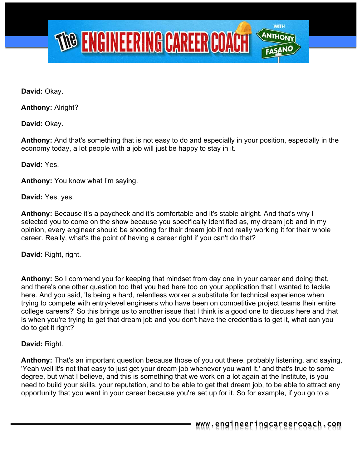

**David:** Okay.

**Anthony:** Alright?

**David:** Okay.

**Anthony:** And that's something that is not easy to do and especially in your position, especially in the economy today, a lot people with a job will just be happy to stay in it.

**David:** Yes.

**Anthony:** You know what I'm saying.

**David:** Yes, yes.

**Anthony:** Because it's a paycheck and it's comfortable and it's stable alright. And that's why I selected you to come on the show because you specifically identified as, my dream job and in my opinion, every engineer should be shooting for their dream job if not really working it for their whole career. Really, what's the point of having a career right if you can't do that?

**David:** Right, right.

**Anthony:** So I commend you for keeping that mindset from day one in your career and doing that, and there's one other question too that you had here too on your application that I wanted to tackle here. And you said, 'Is being a hard, relentless worker a substitute for technical experience when trying to compete with entry-level engineers who have been on competitive project teams their entire college careers?' So this brings us to another issue that I think is a good one to discuss here and that is when you're trying to get that dream job and you don't have the credentials to get it, what can you do to get it right?

#### **David:** Right.

**Anthony:** That's an important question because those of you out there, probably listening, and saying, 'Yeah well it's not that easy to just get your dream job whenever you want it,' and that's true to some degree, but what I believe, and this is something that we work on a lot again at the Institute, is you need to build your skills, your reputation, and to be able to get that dream job, to be able to attract any opportunity that you want in your career because you're set up for it. So for example, if you go to a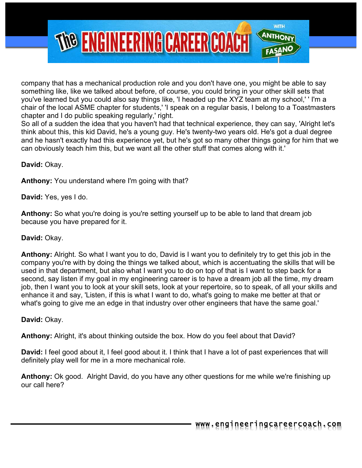

company that has a mechanical production role and you don't have one, you might be able to say something like, like we talked about before, of course, you could bring in your other skill sets that you've learned but you could also say things like, 'I headed up the XYZ team at my school,' ' I'm a chair of the local ASME chapter for students,' 'I speak on a regular basis, I belong to a Toastmasters chapter and I do public speaking regularly,' right.

So all of a sudden the idea that you haven't had that technical experience, they can say, 'Alright let's think about this, this kid David, he's a young guy. He's twenty-two years old. He's got a dual degree and he hasn't exactly had this experience yet, but he's got so many other things going for him that we can obviously teach him this, but we want all the other stuff that comes along with it.'

**David:** Okay.

**Anthony:** You understand where I'm going with that?

**David:** Yes, yes I do.

**Anthony:** So what you're doing is you're setting yourself up to be able to land that dream job because you have prepared for it.

#### **David:** Okay.

**Anthony:** Alright. So what I want you to do, David is I want you to definitely try to get this job in the company you're with by doing the things we talked about, which is accentuating the skills that will be used in that department, but also what I want you to do on top of that is I want to step back for a second, say listen if my goal in my engineering career is to have a dream job all the time, my dream job, then I want you to look at your skill sets, look at your repertoire, so to speak, of all your skills and enhance it and say, 'Listen, if this is what I want to do, what's going to make me better at that or what's going to give me an edge in that industry over other engineers that have the same goal.'

#### **David:** Okay.

**Anthony:** Alright, it's about thinking outside the box. How do you feel about that David?

**David:** I feel good about it, I feel good about it. I think that I have a lot of past experiences that will definitely play well for me in a more mechanical role.

**Anthony:** Ok good. Alright David, do you have any other questions for me while we're finishing up our call here?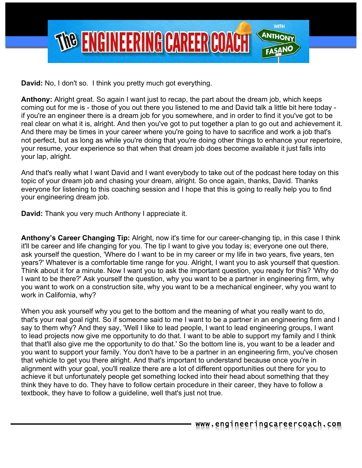

**David:** No, I don't so. I think you pretty much got everything.

**Anthony:** Alright great. So again I want just to recap, the part about the dream job, which keeps coming out for me is - those of you out there you listened to me and David talk a little bit here today if you're an engineer there is a dream job for you somewhere, and in order to find it you've got to be real clear on what it is, alright. And then you've got to put together a plan to go out and achievement it. And there may be times in your career where you're going to have to sacrifice and work a job that's not perfect, but as long as while you're doing that you're doing other things to enhance your repertoire, your resume, your experience so that when that dream job does become available it just falls into your lap, alright.

And that's really what I want David and I want everybody to take out of the podcast here today on this topic of your dream job and chasing your dream, alright. So once again, thanks, David. Thanks everyone for listening to this coaching session and I hope that this is going to really help you to find your engineering dream job.

**David:** Thank you very much Anthony I appreciate it.

**Anthony's Career Changing Tip:** Alright, now it's time for our career-changing tip, in this case I think it'll be career and life changing for you. The tip I want to give you today is; everyone one out there, ask yourself the question, 'Where do I want to be in my career or my life in two years, five years, ten years?' Whatever is a comfortable time range for you. Alright, I want you to ask yourself that question. Think about it for a minute. Now I want you to ask the important question, you ready for this? 'Why do I want to be there?' Ask yourself the question, why you want to be a partner in engineering firm, why you want to work on a construction site, why you want to be a mechanical engineer, why you want to work in California, why?

When you ask yourself why you get to the bottom and the meaning of what you really want to do, that's your real goal right. So if someone said to me I want to be a partner in an engineering firm and I say to them why? And they say, 'Well I like to lead people, I want to lead engineering groups, I want to lead projects now give me opportunity to do that. I want to be able to support my family and I think that that'll also give me the opportunity to do that.' So the bottom line is, you want to be a leader and you want to support your family. You don't have to be a partner in an engineering firm, you've chosen that vehicle to get you there alright. And that's important to understand because once you're in alignment with your goal, you'll realize there are a lot of different opportunities out there for you to achieve it but unfortunately people get something locked into their head about something that they think they have to do. They have to follow certain procedure in their career, they have to follow a textbook, they have to follow a guideline, well that's just not true.